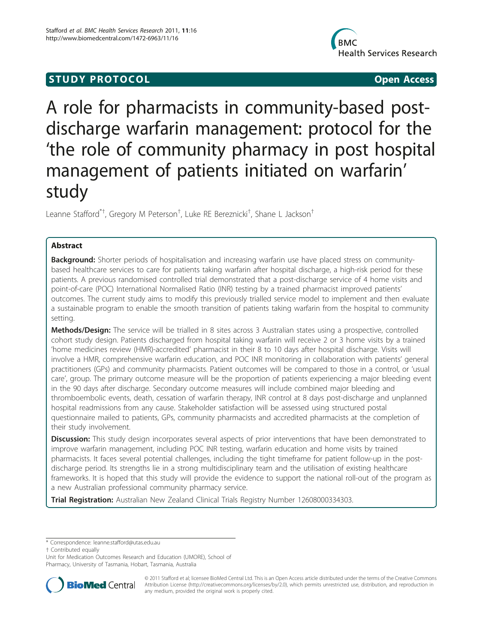## **STUDY PROTOCOL** And the state of the state of the state of the state of the state of the state of the state of the state of the state of the state of the state of the state of the state of the state of the state of the st



# A role for pharmacists in community-based postdischarge warfarin management: protocol for the 'the role of community pharmacy in post hospital management of patients initiated on warfarin' study

Leanne Stafford<sup>\*†</sup>, Gregory M Peterson<sup>†</sup>, Luke RE Bereznicki<sup>†</sup>, Shane L Jackson<sup>†</sup>

## Abstract

Background: Shorter periods of hospitalisation and increasing warfarin use have placed stress on communitybased healthcare services to care for patients taking warfarin after hospital discharge, a high-risk period for these patients. A previous randomised controlled trial demonstrated that a post-discharge service of 4 home visits and point-of-care (POC) International Normalised Ratio (INR) testing by a trained pharmacist improved patients' outcomes. The current study aims to modify this previously trialled service model to implement and then evaluate a sustainable program to enable the smooth transition of patients taking warfarin from the hospital to community setting.

Methods/Design: The service will be trialled in 8 sites across 3 Australian states using a prospective, controlled cohort study design. Patients discharged from hospital taking warfarin will receive 2 or 3 home visits by a trained 'home medicines review (HMR)-accredited' pharmacist in their 8 to 10 days after hospital discharge. Visits will involve a HMR, comprehensive warfarin education, and POC INR monitoring in collaboration with patients' general practitioners (GPs) and community pharmacists. Patient outcomes will be compared to those in a control, or 'usual care', group. The primary outcome measure will be the proportion of patients experiencing a major bleeding event in the 90 days after discharge. Secondary outcome measures will include combined major bleeding and thromboembolic events, death, cessation of warfarin therapy, INR control at 8 days post-discharge and unplanned hospital readmissions from any cause. Stakeholder satisfaction will be assessed using structured postal questionnaire mailed to patients, GPs, community pharmacists and accredited pharmacists at the completion of their study involvement.

**Discussion:** This study design incorporates several aspects of prior interventions that have been demonstrated to improve warfarin management, including POC INR testing, warfarin education and home visits by trained pharmacists. It faces several potential challenges, including the tight timeframe for patient follow-up in the postdischarge period. Its strengths lie in a strong multidisciplinary team and the utilisation of existing healthcare frameworks. It is hoped that this study will provide the evidence to support the national roll-out of the program as a new Australian professional community pharmacy service.

Trial Registration: Australian New Zealand Clinical Trials Registry Number [12608000334303](http://www.anzctr.org.au/trial_view.aspx?ID=82959).

\* Correspondence: [leanne.stafford@utas.edu.au](mailto:leanne.stafford@utas.edu.au)

† Contributed equally

Unit for Medication Outcomes Research and Education (UMORE), School of Pharmacy, University of Tasmania, Hobart, Tasmania, Australia



© 2011 Stafford et al; licensee BioMed Central Ltd. This is an Open Access article distributed under the terms of the Creative Commons Attribution License [\(http://creativecommons.org/licenses/by/2.0](http://creativecommons.org/licenses/by/2.0)), which permits unrestricted use, distribution, and reproduction in any medium, provided the original work is properly cited.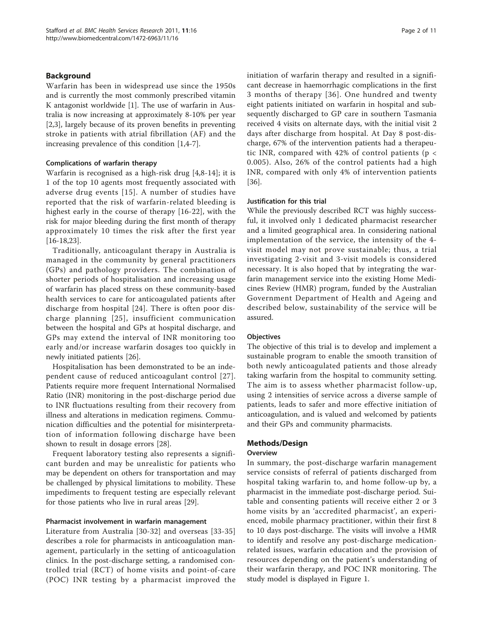## Background

Warfarin has been in widespread use since the 1950s and is currently the most commonly prescribed vitamin K antagonist worldwide [\[1\]](#page-8-0). The use of warfarin in Australia is now increasing at approximately 8-10% per year [[2,3\]](#page-8-0), largely because of its proven benefits in preventing stroke in patients with atrial fibrillation (AF) and the increasing prevalence of this condition [[1,4-7](#page-8-0)].

## Complications of warfarin therapy

Warfarin is recognised as a high-risk drug [\[4](#page-8-0),[8-14](#page-8-0)]; it is 1 of the top 10 agents most frequently associated with adverse drug events [[15](#page-8-0)]. A number of studies have reported that the risk of warfarin-related bleeding is highest early in the course of therapy [[16-](#page-8-0)[22\]](#page-9-0), with the risk for major bleeding during the first month of therapy approximately 10 times the risk after the first year [[16-](#page-8-0)[18,23\]](#page-9-0).

Traditionally, anticoagulant therapy in Australia is managed in the community by general practitioners (GPs) and pathology providers. The combination of shorter periods of hospitalisation and increasing usage of warfarin has placed stress on these community-based health services to care for anticoagulated patients after discharge from hospital [[24\]](#page-9-0). There is often poor discharge planning [[25\]](#page-9-0), insufficient communication between the hospital and GPs at hospital discharge, and GPs may extend the interval of INR monitoring too early and/or increase warfarin dosages too quickly in newly initiated patients [\[26](#page-9-0)].

Hospitalisation has been demonstrated to be an independent cause of reduced anticoagulant control [[27\]](#page-9-0). Patients require more frequent International Normalised Ratio (INR) monitoring in the post-discharge period due to INR fluctuations resulting from their recovery from illness and alterations in medication regimens. Communication difficulties and the potential for misinterpretation of information following discharge have been shown to result in dosage errors [\[28](#page-9-0)].

Frequent laboratory testing also represents a significant burden and may be unrealistic for patients who may be dependent on others for transportation and may be challenged by physical limitations to mobility. These impediments to frequent testing are especially relevant for those patients who live in rural areas [\[29\]](#page-9-0).

## Pharmacist involvement in warfarin management

Literature from Australia [\[30](#page-9-0)-[32](#page-9-0)] and overseas [\[33-35](#page-9-0)] describes a role for pharmacists in anticoagulation management, particularly in the setting of anticoagulation clinics. In the post-discharge setting, a randomised controlled trial (RCT) of home visits and point-of-care (POC) INR testing by a pharmacist improved the initiation of warfarin therapy and resulted in a significant decrease in haemorrhagic complications in the first 3 months of therapy [[36](#page-9-0)]. One hundred and twenty eight patients initiated on warfarin in hospital and subsequently discharged to GP care in southern Tasmania received 4 visits on alternate days, with the initial visit 2 days after discharge from hospital. At Day 8 post-discharge, 67% of the intervention patients had a therapeutic INR, compared with 42% of control patients ( $p <$ 0.005). Also, 26% of the control patients had a high INR, compared with only 4% of intervention patients [[36\]](#page-9-0).

## Justification for this trial

While the previously described RCT was highly successful, it involved only 1 dedicated pharmacist researcher and a limited geographical area. In considering national implementation of the service, the intensity of the 4 visit model may not prove sustainable; thus, a trial investigating 2-visit and 3-visit models is considered necessary. It is also hoped that by integrating the warfarin management service into the existing Home Medicines Review (HMR) program, funded by the Australian Government Department of Health and Ageing and described below, sustainability of the service will be assured.

## **Objectives**

The objective of this trial is to develop and implement a sustainable program to enable the smooth transition of both newly anticoagulated patients and those already taking warfarin from the hospital to community setting. The aim is to assess whether pharmacist follow-up, using 2 intensities of service across a diverse sample of patients, leads to safer and more effective initiation of anticoagulation, and is valued and welcomed by patients and their GPs and community pharmacists.

## Methods/Design

## **Overview**

In summary, the post-discharge warfarin management service consists of referral of patients discharged from hospital taking warfarin to, and home follow-up by, a pharmacist in the immediate post-discharge period. Suitable and consenting patients will receive either 2 or 3 home visits by an 'accredited pharmacist', an experienced, mobile pharmacy practitioner, within their first 8 to 10 days post-discharge. The visits will involve a HMR to identify and resolve any post-discharge medicationrelated issues, warfarin education and the provision of resources depending on the patient's understanding of their warfarin therapy, and POC INR monitoring. The study model is displayed in Figure [1.](#page-2-0)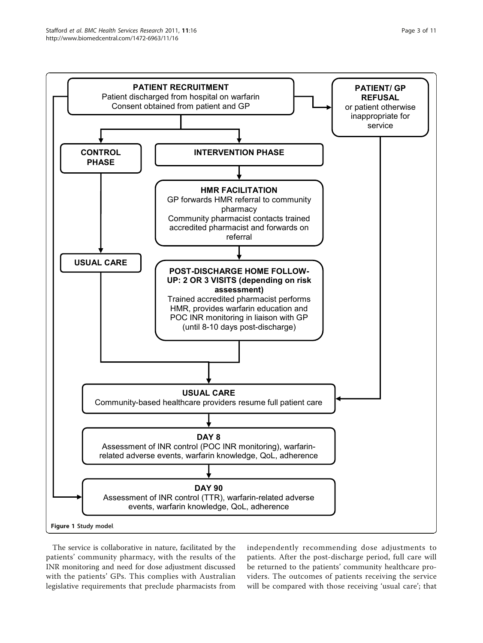<span id="page-2-0"></span>

The service is collaborative in nature, facilitated by the patients' community pharmacy, with the results of the INR monitoring and need for dose adjustment discussed with the patients' GPs. This complies with Australian legislative requirements that preclude pharmacists from

independently recommending dose adjustments to patients. After the post-discharge period, full care will be returned to the patients' community healthcare providers. The outcomes of patients receiving the service will be compared with those receiving 'usual care'; that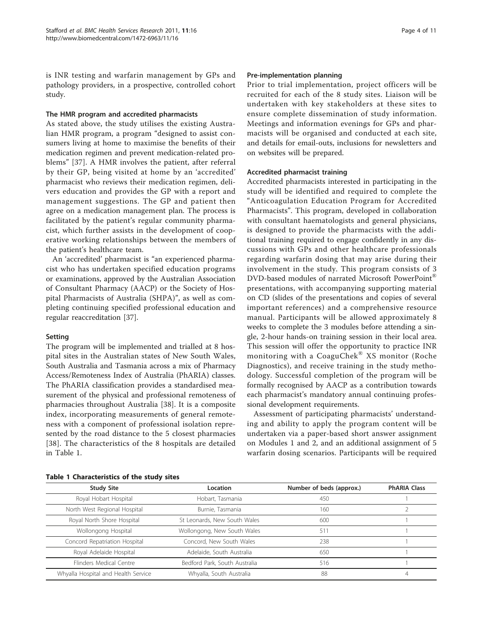is INR testing and warfarin management by GPs and pathology providers, in a prospective, controlled cohort study.

#### The HMR program and accredited pharmacists

As stated above, the study utilises the existing Australian HMR program, a program "designed to assist consumers living at home to maximise the benefits of their medication regimen and prevent medication-related problems" [[37\]](#page-9-0). A HMR involves the patient, after referral by their GP, being visited at home by an 'accredited' pharmacist who reviews their medication regimen, delivers education and provides the GP with a report and management suggestions. The GP and patient then agree on a medication management plan. The process is facilitated by the patient's regular community pharmacist, which further assists in the development of cooperative working relationships between the members of the patient's healthcare team.

An 'accredited' pharmacist is "an experienced pharmacist who has undertaken specified education programs or examinations, approved by the Australian Association of Consultant Pharmacy (AACP) or the Society of Hospital Pharmacists of Australia (SHPA)", as well as completing continuing specified professional education and regular reaccreditation [[37](#page-9-0)].

## Setting

The program will be implemented and trialled at 8 hospital sites in the Australian states of New South Wales, South Australia and Tasmania across a mix of Pharmacy Access/Remoteness Index of Australia (PhARIA) classes. The PhARIA classification provides a standardised measurement of the physical and professional remoteness of pharmacies throughout Australia [[38\]](#page-9-0). It is a composite index, incorporating measurements of general remoteness with a component of professional isolation represented by the road distance to the 5 closest pharmacies [[38](#page-9-0)]. The characteristics of the 8 hospitals are detailed in Table 1.

#### Pre-implementation planning

Prior to trial implementation, project officers will be recruited for each of the 8 study sites. Liaison will be undertaken with key stakeholders at these sites to ensure complete dissemination of study information. Meetings and information evenings for GPs and pharmacists will be organised and conducted at each site, and details for email-outs, inclusions for newsletters and on websites will be prepared.

#### Accredited pharmacist training

Accredited pharmacists interested in participating in the study will be identified and required to complete the "Anticoagulation Education Program for Accredited Pharmacists". This program, developed in collaboration with consultant haematologists and general physicians, is designed to provide the pharmacists with the additional training required to engage confidently in any discussions with GPs and other healthcare professionals regarding warfarin dosing that may arise during their involvement in the study. This program consists of 3 DVD-based modules of narrated Microsoft PowerPoint® presentations, with accompanying supporting material on CD (slides of the presentations and copies of several important references) and a comprehensive resource manual. Participants will be allowed approximately 8 weeks to complete the 3 modules before attending a single, 2-hour hands-on training session in their local area. This session will offer the opportunity to practice INR monitoring with a CoaguChek® XS monitor (Roche Diagnostics), and receive training in the study methodology. Successful completion of the program will be formally recognised by AACP as a contribution towards each pharmacist's mandatory annual continuing professional development requirements.

Assessment of participating pharmacists' understanding and ability to apply the program content will be undertaken via a paper-based short answer assignment on Modules 1 and 2, and an additional assignment of 5 warfarin dosing scenarios. Participants will be required

| <b>Study Site</b>                   | Location                      | Number of beds (approx.) | <b>PhARIA Class</b> |  |  |  |
|-------------------------------------|-------------------------------|--------------------------|---------------------|--|--|--|
| Royal Hobart Hospital               | Hobart, Tasmania              | 450                      |                     |  |  |  |
| North West Regional Hospital        | Burnie, Tasmania              | 160                      |                     |  |  |  |
| Royal North Shore Hospital          | St Leonards, New South Wales  | 600                      |                     |  |  |  |
| Wollongong Hospital                 | Wollongong, New South Wales   | 511                      |                     |  |  |  |
| Concord Repatriation Hospital       | Concord, New South Wales      | 238                      |                     |  |  |  |
| Royal Adelaide Hospital             | Adelaide, South Australia     | 650                      |                     |  |  |  |
| Flinders Medical Centre             | Bedford Park, South Australia | 516                      |                     |  |  |  |
| Whyalla Hospital and Health Service | Whyalla, South Australia      | 88                       |                     |  |  |  |
|                                     |                               |                          |                     |  |  |  |

Table 1 Characteristics of the study sites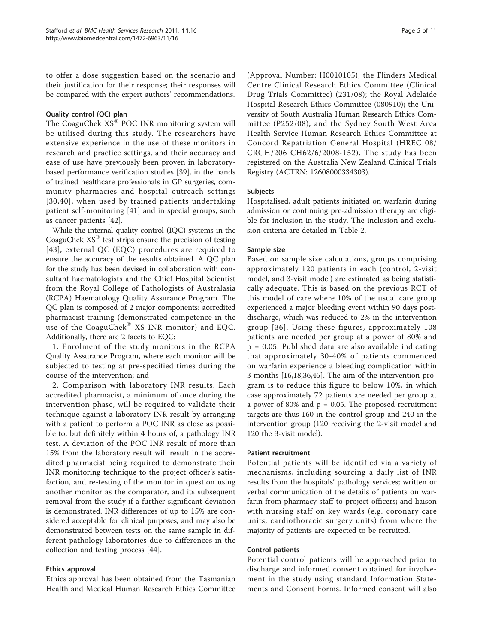to offer a dose suggestion based on the scenario and their justification for their response; their responses will be compared with the expert authors' recommendations.

#### Quality control (QC) plan

The CoaguChek XS® POC INR monitoring system will be utilised during this study. The researchers have extensive experience in the use of these monitors in research and practice settings, and their accuracy and ease of use have previously been proven in laboratorybased performance verification studies [[39\]](#page-9-0), in the hands of trained healthcare professionals in GP surgeries, community pharmacies and hospital outreach settings [[30](#page-9-0),[40](#page-9-0)], when used by trained patients undertaking patient self-monitoring [[41\]](#page-9-0) and in special groups, such as cancer patients [\[42\]](#page-9-0).

While the internal quality control (IQC) systems in the CoaguChek XS® test strips ensure the precision of testing [[43\]](#page-9-0), external QC (EQC) procedures are required to ensure the accuracy of the results obtained. A QC plan for the study has been devised in collaboration with consultant haematologists and the Chief Hospital Scientist from the Royal College of Pathologists of Australasia (RCPA) Haematology Quality Assurance Program. The QC plan is composed of 2 major components: accredited pharmacist training (demonstrated competence in the use of the CoaguChek® XS INR monitor) and EQC. Additionally, there are 2 facets to EQC:

1. Enrolment of the study monitors in the RCPA Quality Assurance Program, where each monitor will be subjected to testing at pre-specified times during the course of the intervention; and

2. Comparison with laboratory INR results. Each accredited pharmacist, a minimum of once during the intervention phase, will be required to validate their technique against a laboratory INR result by arranging with a patient to perform a POC INR as close as possible to, but definitely within 4 hours of, a pathology INR test. A deviation of the POC INR result of more than 15% from the laboratory result will result in the accredited pharmacist being required to demonstrate their INR monitoring technique to the project officer's satisfaction, and re-testing of the monitor in question using another monitor as the comparator, and its subsequent removal from the study if a further significant deviation is demonstrated. INR differences of up to 15% are considered acceptable for clinical purposes, and may also be demonstrated between tests on the same sample in different pathology laboratories due to differences in the collection and testing process [[44](#page-9-0)].

## Ethics approval

Ethics approval has been obtained from the Tasmanian Health and Medical Human Research Ethics Committee (Approval Number: H0010105); the Flinders Medical Centre Clinical Research Ethics Committee (Clinical Drug Trials Committee) (231/08); the Royal Adelaide Hospital Research Ethics Committee (080910); the University of South Australia Human Research Ethics Committee (P252/08); and the Sydney South West Area Health Service Human Research Ethics Committee at Concord Repatriation General Hospital (HREC 08/ CRGH/206 CH62/6/2008-152). The study has been registered on the Australia New Zealand Clinical Trials Registry (ACTRN: 12608000334303).

#### Subjects

Hospitalised, adult patients initiated on warfarin during admission or continuing pre-admission therapy are eligible for inclusion in the study. The inclusion and exclusion criteria are detailed in Table [2.](#page-5-0)

## Sample size

Based on sample size calculations, groups comprising approximately 120 patients in each (control, 2-visit model, and 3-visit model) are estimated as being statistically adequate. This is based on the previous RCT of this model of care where 10% of the usual care group experienced a major bleeding event within 90 days postdischarge, which was reduced to 2% in the intervention group [[36\]](#page-9-0). Using these figures, approximately 108 patients are needed per group at a power of 80% and p = 0.05. Published data are also available indicating that approximately 30-40% of patients commenced on warfarin experience a bleeding complication within 3 months [[16,](#page-8-0)[18,36](#page-9-0),[45](#page-9-0)]. The aim of the intervention program is to reduce this figure to below 10%, in which case approximately 72 patients are needed per group at a power of 80% and  $p = 0.05$ . The proposed recruitment targets are thus 160 in the control group and 240 in the intervention group (120 receiving the 2-visit model and 120 the 3-visit model).

## Patient recruitment

Potential patients will be identified via a variety of mechanisms, including sourcing a daily list of INR results from the hospitals' pathology services; written or verbal communication of the details of patients on warfarin from pharmacy staff to project officers; and liaison with nursing staff on key wards (e.g. coronary care units, cardiothoracic surgery units) from where the majority of patients are expected to be recruited.

## Control patients

Potential control patients will be approached prior to discharge and informed consent obtained for involvement in the study using standard Information Statements and Consent Forms. Informed consent will also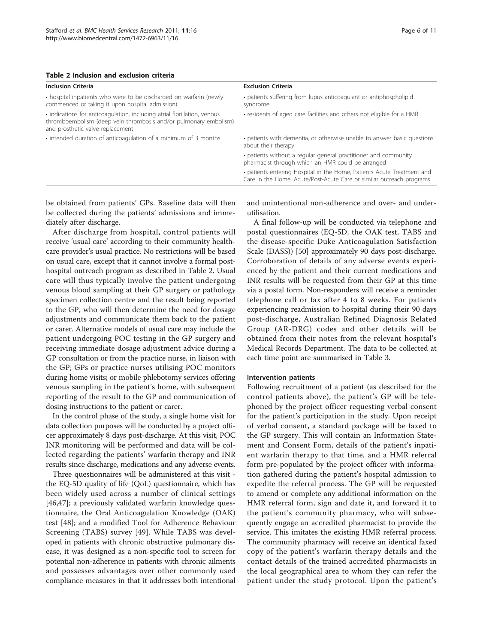<span id="page-5-0"></span>

| Table 2 Inclusion and exclusion criteria |
|------------------------------------------|
|------------------------------------------|

| <b>Inclusion Criteria</b>                                                                                                                                                        | <b>Exclusion Criteria</b>                                                                                                                      |
|----------------------------------------------------------------------------------------------------------------------------------------------------------------------------------|------------------------------------------------------------------------------------------------------------------------------------------------|
| • hospital inpatients who were to be discharged on warfarin (newly<br>commenced or taking it upon hospital admission)                                                            | · patients suffering from lupus anticoagulant or antiphospholipid<br>syndrome                                                                  |
| · indications for anticoagulation, including atrial fibrillation, venous<br>thromboembolism (deep vein thrombosis and/or pulmonary embolism)<br>and prosthetic valve replacement | • residents of aged care facilities and others not eligible for a HMR                                                                          |
| . intended duration of anticoagulation of a minimum of 3 months                                                                                                                  | • patients with dementia, or otherwise unable to answer basic questions<br>about their therapy                                                 |
|                                                                                                                                                                                  | • patients without a regular general practitioner and community<br>pharmacist through which an HMR could be arranged                           |
|                                                                                                                                                                                  | • patients entering Hospital in the Home, Patients Acute Treatment and<br>Care in the Home, Acute/Post-Acute Care or similar outreach programs |

be obtained from patients' GPs. Baseline data will then be collected during the patients' admissions and immediately after discharge.

After discharge from hospital, control patients will receive 'usual care' according to their community healthcare provider's usual practice. No restrictions will be based on usual care, except that it cannot involve a formal posthospital outreach program as described in Table 2. Usual care will thus typically involve the patient undergoing venous blood sampling at their GP surgery or pathology specimen collection centre and the result being reported to the GP, who will then determine the need for dosage adjustments and communicate them back to the patient or carer. Alternative models of usual care may include the patient undergoing POC testing in the GP surgery and receiving immediate dosage adjustment advice during a GP consultation or from the practice nurse, in liaison with the GP; GPs or practice nurses utilising POC monitors during home visits; or mobile phlebotomy services offering venous sampling in the patient's home, with subsequent reporting of the result to the GP and communication of dosing instructions to the patient or carer.

In the control phase of the study, a single home visit for data collection purposes will be conducted by a project officer approximately 8 days post-discharge. At this visit, POC INR monitoring will be performed and data will be collected regarding the patients' warfarin therapy and INR results since discharge, medications and any adverse events.

Three questionnaires will be administered at this visit the EQ-5D quality of life (QoL) questionnaire, which has been widely used across a number of clinical settings [[46,47\]](#page-9-0); a previously validated warfarin knowledge questionnaire, the Oral Anticoagulation Knowledge (OAK) test [[48\]](#page-9-0); and a modified Tool for Adherence Behaviour Screening (TABS) survey [[49\]](#page-9-0). While TABS was developed in patients with chronic obstructive pulmonary disease, it was designed as a non-specific tool to screen for potential non-adherence in patients with chronic ailments and possesses advantages over other commonly used compliance measures in that it addresses both intentional and unintentional non-adherence and over- and underutilisation.

A final follow-up will be conducted via telephone and postal questionnaires (EQ-5D, the OAK test, TABS and the disease-specific Duke Anticoagulation Satisfaction Scale (DASS)) [[50\]](#page-9-0) approximately 90 days post-discharge. Corroboration of details of any adverse events experienced by the patient and their current medications and INR results will be requested from their GP at this time via a postal form. Non-responders will receive a reminder telephone call or fax after 4 to 8 weeks. For patients experiencing readmission to hospital during their 90 days post-discharge, Australian Refined Diagnosis Related Group (AR-DRG) codes and other details will be obtained from their notes from the relevant hospital's Medical Records Department. The data to be collected at each time point are summarised in Table [3](#page-6-0).

#### Intervention patients

Following recruitment of a patient (as described for the control patients above), the patient's GP will be telephoned by the project officer requesting verbal consent for the patient's participation in the study. Upon receipt of verbal consent, a standard package will be faxed to the GP surgery. This will contain an Information Statement and Consent Form, details of the patient's inpatient warfarin therapy to that time, and a HMR referral form pre-populated by the project officer with information gathered during the patient's hospital admission to expedite the referral process. The GP will be requested to amend or complete any additional information on the HMR referral form, sign and date it, and forward it to the patient's community pharmacy, who will subsequently engage an accredited pharmacist to provide the service. This imitates the existing HMR referral process. The community pharmacy will receive an identical faxed copy of the patient's warfarin therapy details and the contact details of the trained accredited pharmacists in the local geographical area to whom they can refer the patient under the study protocol. Upon the patient's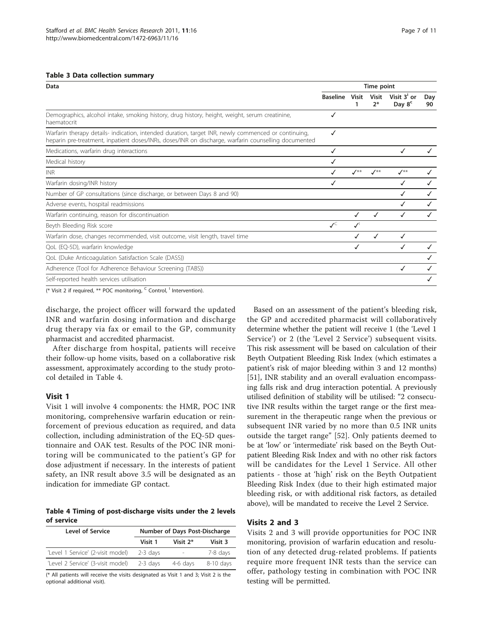#### <span id="page-6-0"></span>Table 3 Data collection summary

| Data                                                                                                                                                                                                        |                            | Time point         |                      |                                   |           |
|-------------------------------------------------------------------------------------------------------------------------------------------------------------------------------------------------------------|----------------------------|--------------------|----------------------|-----------------------------------|-----------|
|                                                                                                                                                                                                             | <b>Baseline</b>            | Visit              | <b>Visit</b><br>$2*$ | Visit 3' or<br>Day 8 <sup>c</sup> | Day<br>90 |
| Demographics, alcohol intake, smoking history, drug history, height, weight, serum creatinine,<br>haematocrit                                                                                               | √                          |                    |                      |                                   |           |
| Warfarin therapy details- indication, intended duration, target INR, newly commenced or continuing,<br>heparin pre-treatment, inpatient doses/INRs, doses/INR on discharge, warfarin counselling documented |                            |                    |                      |                                   |           |
| Medications, warfarin drug interactions                                                                                                                                                                     |                            |                    |                      |                                   |           |
| Medical history                                                                                                                                                                                             |                            |                    |                      |                                   |           |
| <b>INR</b>                                                                                                                                                                                                  |                            | $\mathcal{N}^{**}$ | $\mathcal{I}^{**}$   | $J^{**}$                          |           |
| Warfarin dosing/INR history                                                                                                                                                                                 |                            |                    |                      |                                   |           |
| Number of GP consultations (since discharge, or between Days 8 and 90)                                                                                                                                      |                            |                    |                      |                                   | ✓         |
| Adverse events, hospital readmissions                                                                                                                                                                       |                            |                    |                      |                                   | ✓         |
| Warfarin continuing, reason for discontinuation                                                                                                                                                             |                            |                    | ✓                    | ✓                                 |           |
| Beyth Bleeding Risk score                                                                                                                                                                                   | $\mathcal{N}^{\mathsf{C}}$ |                    |                      |                                   |           |
| Warfarin dose, changes recommended, visit outcome, visit length, travel time                                                                                                                                |                            |                    | ✓                    | ✓                                 |           |
| QoL (EQ-5D), warfarin knowledge                                                                                                                                                                             |                            | ✓                  |                      |                                   |           |
| QoL (Duke Anticoagulation Satisfaction Scale (DASS))                                                                                                                                                        |                            |                    |                      |                                   |           |
| Adherence (Tool for Adherence Behaviour Screening (TABS))                                                                                                                                                   |                            |                    |                      | ✓                                 |           |
| Self-reported health services utilisation                                                                                                                                                                   |                            |                    |                      |                                   |           |
|                                                                                                                                                                                                             |                            |                    |                      |                                   |           |

(\* Visit 2 if required, \*\* POC monitoring,  $C$  Control,  $\frac{1}{1}$  Intervention).

discharge, the project officer will forward the updated INR and warfarin dosing information and discharge drug therapy via fax or email to the GP, community pharmacist and accredited pharmacist.

After discharge from hospital, patients will receive their follow-up home visits, based on a collaborative risk assessment, approximately according to the study protocol detailed in Table 4.

#### Visit 1

Visit 1 will involve 4 components: the HMR, POC INR monitoring, comprehensive warfarin education or reinforcement of previous education as required, and data collection, including administration of the EQ-5D questionnaire and OAK test. Results of the POC INR monitoring will be communicated to the patient's GP for dose adjustment if necessary. In the interests of patient safety, an INR result above 3.5 will be designated as an indication for immediate GP contact.

Table 4 Timing of post-discharge visits under the 2 levels of service

| Level of Service                  | Number of Days Post-Discharge |                          |           |
|-----------------------------------|-------------------------------|--------------------------|-----------|
|                                   | Visit 1                       | Visit $2*$               | Visit 3   |
| 'Level 1 Service' (2-visit model) | $2-3$ davs                    | $\overline{\phantom{a}}$ | 7-8 days  |
| 'Level 2 Service' (3-visit model) | $2-3$ days                    | 4-6 days                 | 8-10 days |

(\* All patients will receive the visits designated as Visit 1 and 3; Visit 2 is the optional additional visit).

Based on an assessment of the patient's bleeding risk, the GP and accredited pharmacist will collaboratively determine whether the patient will receive 1 (the 'Level 1 Service') or 2 (the 'Level 2 Service') subsequent visits. This risk assessment will be based on calculation of their Beyth Outpatient Bleeding Risk Index (which estimates a patient's risk of major bleeding within 3 and 12 months) [[51\]](#page-9-0), INR stability and an overall evaluation encompassing falls risk and drug interaction potential. A previously utilised definition of stability will be utilised: "2 consecutive INR results within the target range or the first measurement in the therapeutic range when the previous or subsequent INR varied by no more than 0.5 INR units outside the target range" [[52\]](#page-9-0). Only patients deemed to be at 'low' or 'intermediate' risk based on the Beyth Outpatient Bleeding Risk Index and with no other risk factors will be candidates for the Level 1 Service. All other patients - those at 'high' risk on the Beyth Outpatient Bleeding Risk Index (due to their high estimated major bleeding risk, or with additional risk factors, as detailed above), will be mandated to receive the Level 2 Service.

#### Visits 2 and 3

Visits 2 and 3 will provide opportunities for POC INR monitoring, provision of warfarin education and resolution of any detected drug-related problems. If patients require more frequent INR tests than the service can offer, pathology testing in combination with POC INR testing will be permitted.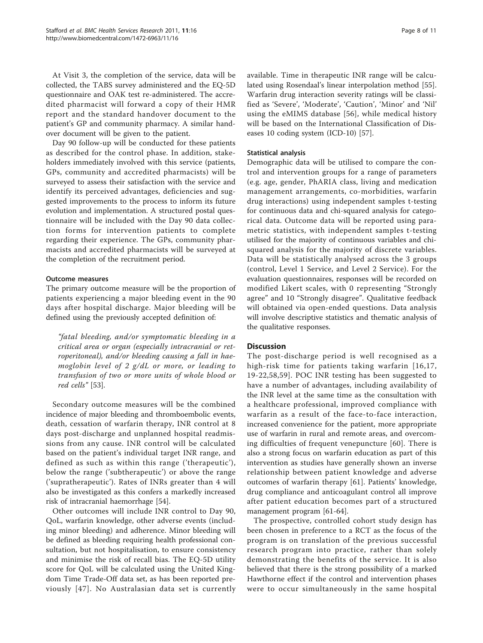At Visit 3, the completion of the service, data will be collected, the TABS survey administered and the EQ-5D questionnaire and OAK test re-administered. The accredited pharmacist will forward a copy of their HMR report and the standard handover document to the patient's GP and community pharmacy. A similar handover document will be given to the patient.

Day 90 follow-up will be conducted for these patients as described for the control phase. In addition, stakeholders immediately involved with this service (patients, GPs, community and accredited pharmacists) will be surveyed to assess their satisfaction with the service and identify its perceived advantages, deficiencies and suggested improvements to the process to inform its future evolution and implementation. A structured postal questionnaire will be included with the Day 90 data collection forms for intervention patients to complete regarding their experience. The GPs, community pharmacists and accredited pharmacists will be surveyed at the completion of the recruitment period.

#### Outcome measures

The primary outcome measure will be the proportion of patients experiencing a major bleeding event in the 90 days after hospital discharge. Major bleeding will be defined using the previously accepted definition of:

"fatal bleeding, and/or symptomatic bleeding in a critical area or organ (especially intracranial or retroperitoneal), and/or bleeding causing a fall in haemoglobin level of 2 g/dL or more, or leading to transfusion of two or more units of whole blood or red cells" [[53](#page-9-0)].

Secondary outcome measures will be the combined incidence of major bleeding and thromboembolic events, death, cessation of warfarin therapy, INR control at 8 days post-discharge and unplanned hospital readmissions from any cause. INR control will be calculated based on the patient's individual target INR range, and defined as such as within this range ('therapeutic'), below the range ('subtherapeutic') or above the range ('supratherapeutic'). Rates of INRs greater than 4 will also be investigated as this confers a markedly increased risk of intracranial haemorrhage [\[54](#page-9-0)].

Other outcomes will include INR control to Day 90, QoL, warfarin knowledge, other adverse events (including minor bleeding) and adherence. Minor bleeding will be defined as bleeding requiring health professional consultation, but not hospitalisation, to ensure consistency and minimise the risk of recall bias. The EQ-5D utility score for QoL will be calculated using the United Kingdom Time Trade-Off data set, as has been reported previously [[47](#page-9-0)]. No Australasian data set is currently available. Time in therapeutic INR range will be calculated using Rosendaal's linear interpolation method [\[55](#page-9-0)]. Warfarin drug interaction severity ratings will be classified as 'Severe', 'Moderate', 'Caution', 'Minor' and 'Nil' using the eMIMS database [[56](#page-9-0)], while medical history will be based on the International Classification of Diseases 10 coding system (ICD-10) [[57\]](#page-9-0).

#### Statistical analysis

Demographic data will be utilised to compare the control and intervention groups for a range of parameters (e.g. age, gender, PhARIA class, living and medication management arrangements, co-morbidities, warfarin drug interactions) using independent samples t-testing for continuous data and chi-squared analysis for categorical data. Outcome data will be reported using parametric statistics, with independent samples t-testing utilised for the majority of continuous variables and chisquared analysis for the majority of discrete variables. Data will be statistically analysed across the 3 groups (control, Level 1 Service, and Level 2 Service). For the evaluation questionnaires, responses will be recorded on modified Likert scales, with 0 representing "Strongly agree" and 10 "Strongly disagree". Qualitative feedback will obtained via open-ended questions. Data analysis will involve descriptive statistics and thematic analysis of the qualitative responses.

## **Discussion**

The post-discharge period is well recognised as a high-risk time for patients taking warfarin [[16](#page-8-0),[17](#page-8-0), [19](#page-9-0)-[22](#page-9-0),[58](#page-9-0),[59](#page-9-0)]. POC INR testing has been suggested to have a number of advantages, including availability of the INR level at the same time as the consultation with a healthcare professional, improved compliance with warfarin as a result of the face-to-face interaction, increased convenience for the patient, more appropriate use of warfarin in rural and remote areas, and overcoming difficulties of frequent venepuncture [\[60](#page-9-0)]. There is also a strong focus on warfarin education as part of this intervention as studies have generally shown an inverse relationship between patient knowledge and adverse outcomes of warfarin therapy [[61](#page-9-0)]. Patients' knowledge, drug compliance and anticoagulant control all improve after patient education becomes part of a structured management program [[61](#page-9-0)-[64\]](#page-9-0).

The prospective, controlled cohort study design has been chosen in preference to a RCT as the focus of the program is on translation of the previous successful research program into practice, rather than solely demonstrating the benefits of the service. It is also believed that there is the strong possibility of a marked Hawthorne effect if the control and intervention phases were to occur simultaneously in the same hospital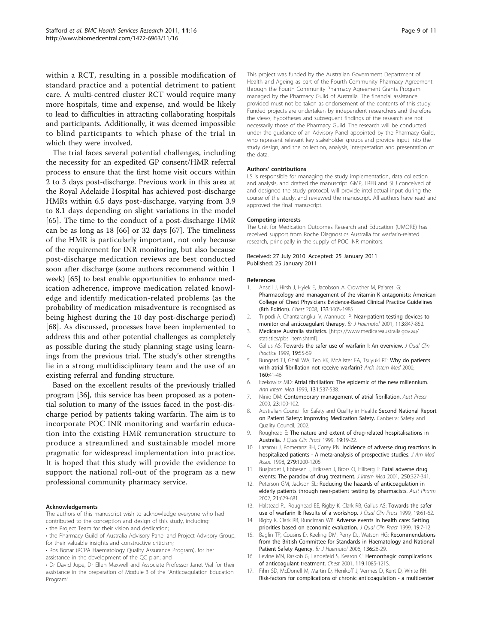<span id="page-8-0"></span>within a RCT, resulting in a possible modification of standard practice and a potential detriment to patient care. A multi-centred cluster RCT would require many more hospitals, time and expense, and would be likely to lead to difficulties in attracting collaborating hospitals and participants. Additionally, it was deemed impossible to blind participants to which phase of the trial in which they were involved.

The trial faces several potential challenges, including the necessity for an expedited GP consent/HMR referral process to ensure that the first home visit occurs within 2 to 3 days post-discharge. Previous work in this area at the Royal Adelaide Hospital has achieved post-discharge HMRs within 6.5 days post-discharge, varying from 3.9 to 8.1 days depending on slight variations in the model [[65\]](#page-9-0). The time to the conduct of a post-discharge HMR can be as long as 18 [[66\]](#page-10-0) or 32 days [\[67\]](#page-10-0). The timeliness of the HMR is particularly important, not only because of the requirement for INR monitoring, but also because post-discharge medication reviews are best conducted soon after discharge (some authors recommend within 1 week) [[65](#page-9-0)] to best enable opportunities to enhance medication adherence, improve medication related knowledge and identify medication-related problems (as the probability of medication misadventure is recognised as being highest during the 10 day post-discharge period) [[68\]](#page-10-0). As discussed, processes have been implemented to address this and other potential challenges as completely as possible during the study planning stage using learnings from the previous trial. The study's other strengths lie in a strong multidisciplinary team and the use of an existing referral and funding structure.

Based on the excellent results of the previously trialled program [[36\]](#page-9-0), this service has been proposed as a potential solution to many of the issues faced in the post-discharge period by patients taking warfarin. The aim is to incorporate POC INR monitoring and warfarin education into the existing HMR remuneration structure to produce a streamlined and sustainable model more pragmatic for widespread implementation into practice. It is hoped that this study will provide the evidence to support the national roll-out of the program as a new professional community pharmacy service.

#### Acknowledgements

- The authors of this manuscript wish to acknowledge everyone who had contributed to the conception and design of this study, including:
- the Project Team for their vision and dedication;
- the Pharmacy Guild of Australia Advisory Panel and Project Advisory Group, for their valuable insights and constructive criticism;
- Ros Bonar (RCPA Haematology Quality Assurance Program), for her assistance in the development of the QC plan; and
- Dr David Jupe, Dr Ellen Maxwell and Associate Professor Janet Vial for their assistance in the preparation of Module 3 of the "Anticoagulation Education Program".

This project was funded by the Australian Government Department of Health and Ageing as part of the Fourth Community Pharmacy Agreement through the Fourth Community Pharmacy Agreement Grants Program managed by the Pharmacy Guild of Australia. The financial assistance provided must not be taken as endorsement of the contents of this study. Funded projects are undertaken by independent researchers and therefore the views, hypotheses and subsequent findings of the research are not necessarily those of the Pharmacy Guild. The research will be conducted under the guidance of an Advisory Panel appointed by the Pharmacy Guild, who represent relevant key stakeholder groups and provide input into the study design, and the collection, analysis, interpretation and presentation of the data.

#### Authors' contributions

LS is responsible for managing the study implementation, data collection and analysis, and drafted the manuscript. GMP, LREB and SLJ conceived of and designed the study protocol, will provide intellectual input during the course of the study, and reviewed the manuscript. All authors have read and approved the final manuscript.

#### Competing interests

The Unit for Medication Outcomes Research and Education (UMORE) has received support from Roche Diagnostics Australia for warfarin-related research, principally in the supply of POC INR monitors.

#### Received: 27 July 2010 Accepted: 25 January 2011 Published: 25 January 2011

#### References

- 1. Ansell J, Hirsh J, Hylek E, Jacobson A, Crowther M, Palareti G: [Pharmacology and management of the vitamin K antagonists: American](http://www.ncbi.nlm.nih.gov/pubmed/18574265?dopt=Abstract) [College of Chest Physicians Evidence-Based Clinical Practice Guidelines](http://www.ncbi.nlm.nih.gov/pubmed/18574265?dopt=Abstract) [\(8th Edition\).](http://www.ncbi.nlm.nih.gov/pubmed/18574265?dopt=Abstract) Chest 2008, 133:160S-198S.
- 2. Tripodi A, Chantarangkul V, Mannucci P: [Near-patient testing devices to](http://www.ncbi.nlm.nih.gov/pubmed/11442473?dopt=Abstract) [monitor oral anticoagulant therapy.](http://www.ncbi.nlm.nih.gov/pubmed/11442473?dopt=Abstract) Br J Haematol 2001, 113:847-852.
- 3. Medicare Australia statistics. [[https://www.medicareaustralia.gov.au/](https://www.medicareaustralia.gov.au/statistics/pbs_item.shtml) [statistics/pbs\\_item.shtml](https://www.medicareaustralia.gov.au/statistics/pbs_item.shtml)].
- 4. Gallus AS: Towards the safer use of warfarin I: An overview. J Oual Clin Practice 1999, 19:55-59.
- 5. Bungard TJ, Ghali WA, Teo KK, McAlister FA, Tsuyuki RT: [Why do patients](http://www.ncbi.nlm.nih.gov/pubmed/10632303?dopt=Abstract) [with atrial fibrillation not receive warfarin?](http://www.ncbi.nlm.nih.gov/pubmed/10632303?dopt=Abstract) Arch Intern Med 2000, 160:41-46.
- 6. Ezekowitz MD: [Atrial fibrillation: The epidemic of the new millennium.](http://www.ncbi.nlm.nih.gov/pubmed/10507965?dopt=Abstract) Ann Intern Med 1999, 131:537-538.
- 7. Ninio DM: Contemporary management of atrial fibrillation. Aust Prescr 2000, 23:100-102.
- 8. Australian Council for Safety and Quality in Health: Second National Report on Patient Safety: Improving Medication Safety. Canberra: Safety and Quality Council; 2002.
- 9. Roughead E: [The nature and extent of drug-related hospitalisations in](http://www.ncbi.nlm.nih.gov/pubmed/10096719?dopt=Abstract) [Australia.](http://www.ncbi.nlm.nih.gov/pubmed/10096719?dopt=Abstract) J Qual Clin Pract 1999, 19:19-22.
- 10. Lazarou J, Pomeranz BH, Corey PN: Incidence of adverse drug reactions in hospitalized patients - A meta-analysis of prospective studies. J Am Med Assoc 1998, 279:1200-1205.
- 11. Buajordet I, Ebbesen J, Erikssen J, Brors O, Hilberg T: [Fatal adverse drug](http://www.ncbi.nlm.nih.gov/pubmed/11576320?dopt=Abstract) [events: The paradox of drug treatment.](http://www.ncbi.nlm.nih.gov/pubmed/11576320?dopt=Abstract) J Intern Med 2001, 250:327-341.
- 12. Peterson GM, Jackson SL: Reducing the hazards of anticoagulation in elderly patients through near-patient testing by pharmacists. Aust Pharm 2002, 21:679-681.
- 13. Halstead PJ, Roughead EE, Rigby K, Clark RB, Gallus AS: [Towards the safer](http://www.ncbi.nlm.nih.gov/pubmed/10096728?dopt=Abstract) [use of warfarin II: Results of a workshop.](http://www.ncbi.nlm.nih.gov/pubmed/10096728?dopt=Abstract) J Qual Clin Pract 1999, 19:61-62.
- 14. Rigby K, Clark RB, Runciman WB: [Adverse events in health care: Setting](http://www.ncbi.nlm.nih.gov/pubmed/10096717?dopt=Abstract) [priorities based on economic evaluation.](http://www.ncbi.nlm.nih.gov/pubmed/10096717?dopt=Abstract) J Qual Clin Pract 1999, 19:7-12.
- 15. Baglin TP, Cousins D, Keeling DM, Perry DJ, Watson HG: [Recommendations](http://www.ncbi.nlm.nih.gov/pubmed/17116128?dopt=Abstract) [from the British Committee for Standards in Haematology and National](http://www.ncbi.nlm.nih.gov/pubmed/17116128?dopt=Abstract) [Patient Safety Agency.](http://www.ncbi.nlm.nih.gov/pubmed/17116128?dopt=Abstract) Br J Haematol 2006, 136:26-29.
- 16. Levine MN, Raskob G, Landefeld S, Kearon C: [Hemorrhagic complications](http://www.ncbi.nlm.nih.gov/pubmed/11157645?dopt=Abstract) [of anticoagulant treatment.](http://www.ncbi.nlm.nih.gov/pubmed/11157645?dopt=Abstract) Chest 2001, 119:108S-121S.
- 17. Fihn SD, McDonell M, Martin D, Henikoff J, Vermes D, Kent D, White RH: [Risk-factors for complications of chronic anticoagulation - a multicenter](http://www.ncbi.nlm.nih.gov/pubmed/8280198?dopt=Abstract)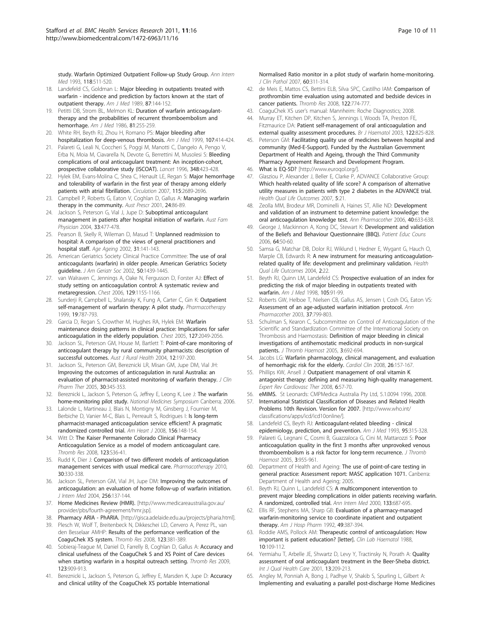<span id="page-9-0"></span>[study. Warfarin Optimized Outpatient Follow-up Study Group.](http://www.ncbi.nlm.nih.gov/pubmed/8280198?dopt=Abstract) Ann Intern Med 1993, 118:511-520.

- 18. Landefeld CS, Goldman L: [Major bleeding in outpatients treated with](http://www.ncbi.nlm.nih.gov/pubmed/2787958?dopt=Abstract) [warfarin - incidence and prediction by factors known at the start of](http://www.ncbi.nlm.nih.gov/pubmed/2787958?dopt=Abstract) [outpatient therapy.](http://www.ncbi.nlm.nih.gov/pubmed/2787958?dopt=Abstract) Am J Med 1989, 87:144-152.
- 19. Petitti DB, Strom BL, Melmon KL: [Duration of warfarin anticoagulant](http://www.ncbi.nlm.nih.gov/pubmed/3740082?dopt=Abstract)[therapy and the probabilities of recurrent thromboembolism and](http://www.ncbi.nlm.nih.gov/pubmed/3740082?dopt=Abstract) [hemorrhage.](http://www.ncbi.nlm.nih.gov/pubmed/3740082?dopt=Abstract) Am J Med 1986, 81:255-259.
- 20. White RH, Beyth RJ, Zhou H, Romano PS: [Major bleeding after](http://www.ncbi.nlm.nih.gov/pubmed/10569295?dopt=Abstract) [hospitalization for deep-venous thrombosis.](http://www.ncbi.nlm.nih.gov/pubmed/10569295?dopt=Abstract) Am J Med 1999, 107:414-424.
- 21. Palareti G, Leali N, Coccheri S, Poggi M, Manotti C, Dangelo A, Pengo V, Erba N, Moia M, Ciavarella N, Devote G, Berrettini M, Musolesi S: [Bleeding](http://www.ncbi.nlm.nih.gov/pubmed/8709780?dopt=Abstract) [complications of oral anticoagulant treatment: An inception-cohort,](http://www.ncbi.nlm.nih.gov/pubmed/8709780?dopt=Abstract) [prospective collaborative study \(ISCOAT\).](http://www.ncbi.nlm.nih.gov/pubmed/8709780?dopt=Abstract) Lancet 1996, 348:423-428.
- 22. Hylek EM, Evans-Molina C, Shea C, Henault LE, Regan S: [Major hemorrhage](http://www.ncbi.nlm.nih.gov/pubmed/17515465?dopt=Abstract) [and tolerability of warfarin in the first year of therapy among elderly](http://www.ncbi.nlm.nih.gov/pubmed/17515465?dopt=Abstract) [patients with atrial fibrillation.](http://www.ncbi.nlm.nih.gov/pubmed/17515465?dopt=Abstract) Circulation 2007, 115:2689-2696.
- 23. Campbell P, Roberts G, Eaton V, Coghlan D, Gallus A: Managing warfarin therapy in the community. Aust Prescr 2001, 24:86-89.
- 24. Jackson S, Peterson G, Vial J, Jupe D: [Suboptimal anticoagulant](http://www.ncbi.nlm.nih.gov/pubmed/15253617?dopt=Abstract) [management in patients after hospital initiation of warfarin.](http://www.ncbi.nlm.nih.gov/pubmed/15253617?dopt=Abstract) Aust Fam Physician 2004, 33:477-478.
- 25. Pearson B, Skelly R, Wileman D, Masud T: [Unplanned readmission to](http://www.ncbi.nlm.nih.gov/pubmed/11937478?dopt=Abstract) [hospital: A comparison of the views of general practitioners and](http://www.ncbi.nlm.nih.gov/pubmed/11937478?dopt=Abstract) [hospital staff.](http://www.ncbi.nlm.nih.gov/pubmed/11937478?dopt=Abstract) Age Ageing 2002, 31:141-143.
- 26. American Geriatrics Society Clinical Practice Committee: [The use of oral](http://www.ncbi.nlm.nih.gov/pubmed/12165003?dopt=Abstract) [anticoagulants \(warfarin\) in older people. American Geriatrics Society](http://www.ncbi.nlm.nih.gov/pubmed/12165003?dopt=Abstract) [guideline.](http://www.ncbi.nlm.nih.gov/pubmed/12165003?dopt=Abstract) J Am Geriatr Soc 2002, 50:1439-1445.
- 27. van Walraven C, Jennings A, Oake N, Fergusson D, Forster AJ: [Effect of](http://www.ncbi.nlm.nih.gov/pubmed/16685005?dopt=Abstract) [study setting on anticoagulation control: A systematic review and](http://www.ncbi.nlm.nih.gov/pubmed/16685005?dopt=Abstract) [metaregression.](http://www.ncbi.nlm.nih.gov/pubmed/16685005?dopt=Abstract) Chest 2006, 129:1155-1166.
- 28. Sunderji R, Campbell L, Shalansky K, Fung A, Carter C, Gin K: [Outpatient](http://www.ncbi.nlm.nih.gov/pubmed/10391426?dopt=Abstract) [self-management of warfarin therapy: A pilot study.](http://www.ncbi.nlm.nih.gov/pubmed/10391426?dopt=Abstract) Pharmacotherapy 1999, 19:787-793.
- 29. Garcia D, Regan S, Crowther M, Hughes RA, Hylek EM: [Warfarin](http://www.ncbi.nlm.nih.gov/pubmed/15947319?dopt=Abstract) [maintenance dosing patterns in clinical practice: Implications for safer](http://www.ncbi.nlm.nih.gov/pubmed/15947319?dopt=Abstract) [anticoagulation in the elderly population.](http://www.ncbi.nlm.nih.gov/pubmed/15947319?dopt=Abstract) Chest 2005, 127:2049-2056.
- 30. Jackson SL, Peterson GM, House M, Bartlett T: [Point-of-care monitoring of](http://www.ncbi.nlm.nih.gov/pubmed/15588262?dopt=Abstract) [anticoagulant therapy by rural community pharmacists: description of](http://www.ncbi.nlm.nih.gov/pubmed/15588262?dopt=Abstract) [successful outcomes.](http://www.ncbi.nlm.nih.gov/pubmed/15588262?dopt=Abstract) Aust J Rural Health 2004, 12:197-200.
- 31. Jackson SL, Peterson GM, Bereznicki LR, Misan GM, Jupe DM, Vial JH: Improving [the outcomes of anticoagulation in rural Australia: an](http://www.ncbi.nlm.nih.gov/pubmed/15985048?dopt=Abstract) [evaluation of pharmacist-assisted monitoring of warfarin therapy.](http://www.ncbi.nlm.nih.gov/pubmed/15985048?dopt=Abstract) J Clin Pharm Ther 2005, 30:345-353.
- 32. Bereznicki L, Jackson S, Peterson G, Jeffrey E, Leong K, Lee J: The warfarin home-monitoring pilot study. National Medicines Symposium Canberra; 2006.
- 33. Lalonde L, Martineau J, Blais N, Montigny M, Ginsberg J, Fournier M, Berbiche D, Vanier M-C, Blais L, Perreault S, Rodrigues I: [Is long-term](http://www.ncbi.nlm.nih.gov/pubmed/18585510?dopt=Abstract) [pharmacist-managed anticoagulation service efficient? A pragmatic](http://www.ncbi.nlm.nih.gov/pubmed/18585510?dopt=Abstract) [randomized controlled trial.](http://www.ncbi.nlm.nih.gov/pubmed/18585510?dopt=Abstract) Am Heart J 2008, 156:148-154.
- 34. Witt D: [The Kaiser Permanente Colorado Clinical Pharmacy](http://www.ncbi.nlm.nih.gov/pubmed/18804262?dopt=Abstract) [Anticoagulation Service as a model of modern anticoagulant care.](http://www.ncbi.nlm.nih.gov/pubmed/18804262?dopt=Abstract) Thromb Res 2008, 123:S36-41.
- 35. Rudd K, Dier J: [Comparison of two different models of anticoagulation](http://www.ncbi.nlm.nih.gov/pubmed/20334453?dopt=Abstract) [management services with usual medical care.](http://www.ncbi.nlm.nih.gov/pubmed/20334453?dopt=Abstract) Pharmacotherapy 2010, 30:330-338.
- 36. Jackson SL, Peterson GM, Vial JH, Jupe DM: [Improving the outcomes of](http://www.ncbi.nlm.nih.gov/pubmed/15257726?dopt=Abstract) [anticoagulation: an evaluation of home follow-up of warfarin initiation.](http://www.ncbi.nlm.nih.gov/pubmed/15257726?dopt=Abstract) J Intern Med 2004, 256:137-144.
- 37. Home Medicines Review (HMR). [\[http://www.medicareaustralia.gov.au/](http://www.medicareaustralia.gov.au/provider/pbs/fourth-agreement/hmr.jsp) [provider/pbs/fourth-agreement/hmr.jsp\]](http://www.medicareaustralia.gov.au/provider/pbs/fourth-agreement/hmr.jsp).
- 38. Pharmacy ARIA PhARIA. [\[http://gisca.adelaide.edu.au/projects/pharia.html\]](http://gisca.adelaide.edu.au/projects/pharia.html).
- 39. Plesch W, Wolf T, Breitenbeck N, Dikkeschei LD, Cervero A, Perez PL, van den Besselaar AMHP: [Results of the performance verification of the](http://www.ncbi.nlm.nih.gov/pubmed/18585761?dopt=Abstract) [CoaguChek XS system.](http://www.ncbi.nlm.nih.gov/pubmed/18585761?dopt=Abstract) Thromb Res 2008, 123:381-389.
- 40. Sobieraj-Teague M, Daniel D, Farrelly B, Coghlan D, Gallus A: [Accuracy and](http://www.ncbi.nlm.nih.gov/pubmed/19042011?dopt=Abstract) [clinical usefulness of the CoaguChek S and XS Point of Care devices](http://www.ncbi.nlm.nih.gov/pubmed/19042011?dopt=Abstract) [when starting warfarin in a hospital outreach setting.](http://www.ncbi.nlm.nih.gov/pubmed/19042011?dopt=Abstract) Thromb Res 2009, 123:909-913.
- 41. Bereznicki L, Jackson S, Peterson G, Jeffrey E, Marsden K, Jupe D: [Accuracy](http://www.ncbi.nlm.nih.gov/pubmed/16751303?dopt=Abstract) [and clinical utility of the CoaguChek XS portable International](http://www.ncbi.nlm.nih.gov/pubmed/16751303?dopt=Abstract)

[Normalised Ratio monitor in a pilot study of warfarin home-monitoring.](http://www.ncbi.nlm.nih.gov/pubmed/16751303?dopt=Abstract) J Clin Pathol 2007, 60:311-314.

- 42. de Meis E, Mattos CS, Bettini ELB, Silva SPC, Castilho IAM: [Comparison of](http://www.ncbi.nlm.nih.gov/pubmed/18045664?dopt=Abstract) [prothrombin time evaluation using automated and bedside devices in](http://www.ncbi.nlm.nih.gov/pubmed/18045664?dopt=Abstract) [cancer patients.](http://www.ncbi.nlm.nih.gov/pubmed/18045664?dopt=Abstract) Thromb Res 2008, 122:774-777.
- 43. CoaguChek XS user's manual: Mannheim: Roche Diagnostics; 2008.
- 44. Murray ET, Kitchen DP, Kitchen S, Jennings I, Woods TA, Preston FE, Fitzmaurice DA: [Patient self-management of oral anticoagulation and](http://www.ncbi.nlm.nih.gov/pubmed/12930396?dopt=Abstract) [external quality assessment procedures.](http://www.ncbi.nlm.nih.gov/pubmed/12930396?dopt=Abstract) Br J Haematol 2003, 122:825-828.
- 45. Peterson GM: Facilitating quality use of medicines between hospital and community (Med-E-Support). Funded by the Australian Government Department of Health and Ageing, through the Third Community Pharmacy Agreement Research and Development Program.
- 46. What is EQ-5D? [\[http://www.euroqol.org/\]](http://www.euroqol.org/).
- 47. Glasziou P, Alexander J, Beller E, Clarke P, ADVANCE Collaborative Group: [Which health-related quality of life score? A comparison of alternative](http://www.ncbi.nlm.nih.gov/pubmed/17462100?dopt=Abstract) [utility measures in patients with type 2 diabetes in the ADVANCE trial.](http://www.ncbi.nlm.nih.gov/pubmed/17462100?dopt=Abstract) Health Qual Life Outcomes 2007, 5:21.
- Zeolla MM, Brodeur MR, Dominelli A, Haines ST, Allie ND: [Development](http://www.ncbi.nlm.nih.gov/pubmed/16551766?dopt=Abstract) and [validation of an instrument to determine patient knowledge: the](http://www.ncbi.nlm.nih.gov/pubmed/16551766?dopt=Abstract) [oral anticoagulation knowledge test.](http://www.ncbi.nlm.nih.gov/pubmed/16551766?dopt=Abstract) Ann Pharmacother 2006, 40:633-638.
- 49. George J, Mackinnon A, Kong DC, Stewart K: [Development and validation](http://www.ncbi.nlm.nih.gov/pubmed/16843634?dopt=Abstract) [of the Beliefs and Behaviour Questionnaire \(BBQ\).](http://www.ncbi.nlm.nih.gov/pubmed/16843634?dopt=Abstract) Patient Educ Couns 2006, 64:50-60.
- 50. Samsa G, Matchar DB, Dolor RJ, Wiklund I, Hedner E, Wygant G, Hauch O, Marple CB, Edwards R: [A new instrument for measuring anticoagulation](http://www.ncbi.nlm.nih.gov/pubmed/15132746?dopt=Abstract)[related quality of life: development and preliminary validation.](http://www.ncbi.nlm.nih.gov/pubmed/15132746?dopt=Abstract) Health Qual Life Outcomes 2004, 2:22.
- 51. Beyth RJ, Quinn LM, Landefeld CS: [Prospective evaluation of an index for](http://www.ncbi.nlm.nih.gov/pubmed/9727814?dopt=Abstract) [predicting the risk of major bleeding in outpatients treated with](http://www.ncbi.nlm.nih.gov/pubmed/9727814?dopt=Abstract) [warfarin.](http://www.ncbi.nlm.nih.gov/pubmed/9727814?dopt=Abstract) Am J Med 1998, 105:91-99.
- Roberts GW, Helboe T, Nielsen CB, Gallus AS, Jensen I, Cosh DG, Eaton VS: [Assessment of an age-adjusted warfarin initiation protocol.](http://www.ncbi.nlm.nih.gov/pubmed/12773064?dopt=Abstract) Ann Pharmacother 2003, 37:799-803.
- 53. Schulman S, Kearon C, Subcommittee on Control of Anticoagulation of the Scientific and Standardization Committee of the International Society on Thrombosis and Haemostasis: [Definition of major bleeding in clinical](http://www.ncbi.nlm.nih.gov/pubmed/15842354?dopt=Abstract) [investigations of antihemostatic medicinal products in non-surgical](http://www.ncbi.nlm.nih.gov/pubmed/15842354?dopt=Abstract) [patients.](http://www.ncbi.nlm.nih.gov/pubmed/15842354?dopt=Abstract) J Thromb Haemost 2005, 3:692-694.
- 54. Jacobs LG: [Warfarin pharmacology, clinical management, and evaluation](http://www.ncbi.nlm.nih.gov/pubmed/18406992?dopt=Abstract) [of hemorrhagic risk for the elderly.](http://www.ncbi.nlm.nih.gov/pubmed/18406992?dopt=Abstract) Cardiol Clin 2008, 26:157-167.
- 55. Phillips KW, Ansell J: [Outpatient management of oral vitamin K](http://www.ncbi.nlm.nih.gov/pubmed/18095907?dopt=Abstract) [antagonist therapy: defining and measuring high-quality management.](http://www.ncbi.nlm.nih.gov/pubmed/18095907?dopt=Abstract) Expert Rev Cardiovasc Ther 2008, 6:57-70.
- 56. eMIMS. St Leonards: CMPMedica Australia Pty Ltd, 5.1.0094 1996, 2008.
- 57. International Statistical Classification of Diseases and Related Health Problems 10th Revision. Version for 2007. [[http://www.who.int/](http://www.who.int/classifications/apps/icd/icd10online/) [classifications/apps/icd/icd10online/\]](http://www.who.int/classifications/apps/icd/icd10online/).
- 58. Landefeld CS, Beyth RJ: [Anticoagulant-related bleeding clinical](http://www.ncbi.nlm.nih.gov/pubmed/8368229?dopt=Abstract) [epidemiology, prediction, and prevention.](http://www.ncbi.nlm.nih.gov/pubmed/8368229?dopt=Abstract) Am J Med 1993, 95:315-328.
- 59. Palareti G, Legnani C, Cosmi B, Guazzaloca G, Cini M, Mattarozzi S: [Poor](http://www.ncbi.nlm.nih.gov/pubmed/15869591?dopt=Abstract) [anticoagulation quality in the first 3 months after unprovoked venous](http://www.ncbi.nlm.nih.gov/pubmed/15869591?dopt=Abstract) [thromboembolism is a risk factor for long-term recurrence.](http://www.ncbi.nlm.nih.gov/pubmed/15869591?dopt=Abstract) J Thromb Haemost 2005, 3:955-961.
- 60. Department of Health and Ageing: The use of point-of-care testing in general practice: Assessment report: MASC application 1071. Canberra: Department of Health and Ageing; 2005.
- 61. Beyth RJ, Quinn L, Landefeld CS: [A multicomponent intervention to](http://www.ncbi.nlm.nih.gov/pubmed/11074901?dopt=Abstract) [prevent major bleeding complications in older patients receiving warfarin.](http://www.ncbi.nlm.nih.gov/pubmed/11074901?dopt=Abstract) [A randomized, controlled trial.](http://www.ncbi.nlm.nih.gov/pubmed/11074901?dopt=Abstract) Ann Intern Med 2000, 133:687-695.
- 62. Ellis RF, Stephens MA, Sharp GB: [Evaluation of a pharmacy-managed](http://www.ncbi.nlm.nih.gov/pubmed/1554003?dopt=Abstract) [warfarin-monitoring service to coordinate inpatient and outpatient](http://www.ncbi.nlm.nih.gov/pubmed/1554003?dopt=Abstract) [therapy.](http://www.ncbi.nlm.nih.gov/pubmed/1554003?dopt=Abstract) Am J Hosp Pharm 1992, 49:387-394.
- 63. Roddie AMS, Pollock AM: [Therapeutic control of anticoagulation: How](http://www.ncbi.nlm.nih.gov/pubmed/3365930?dopt=Abstract) [important is patient education? \[letter\].](http://www.ncbi.nlm.nih.gov/pubmed/3365930?dopt=Abstract) Clin Lab Haematol 1988, 10:109-112.
- 64. Yermiahu T, Arbelle JE, Shwartz D, Levy Y, Tractinsky N, Porath A: [Quality](http://www.ncbi.nlm.nih.gov/pubmed/11476145?dopt=Abstract) [assessment of oral anticoagulant treatment in the Beer-Sheba district.](http://www.ncbi.nlm.nih.gov/pubmed/11476145?dopt=Abstract) Int J Qual Health Care 2001, 13:209-213.
- 65. Angley M, Ponniah A, Bong J, Padhye V, Shakib S, Spurling L, Gilbert A: Implementing and evaluating a parallel post-discharge Home Medicines